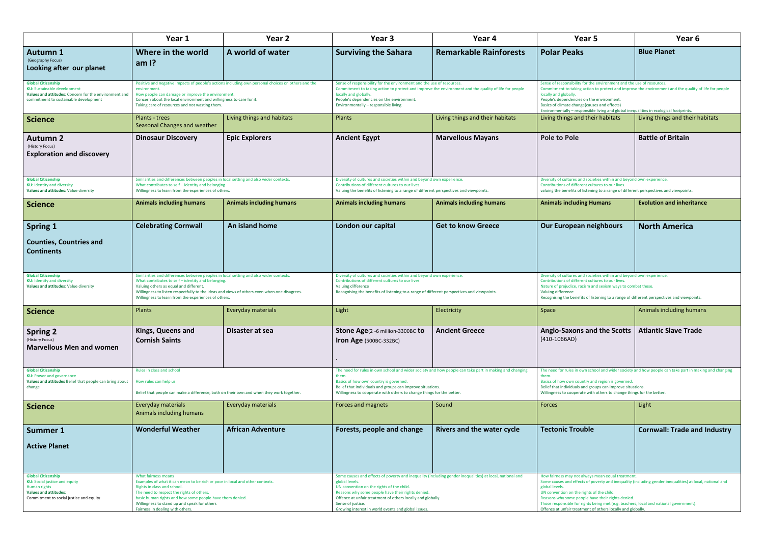|                                                                                                                                                                   | Year 1                                                                                                                                                                                                                                                                                                                                        | Year <sub>2</sub>               | Year <sub>3</sub>                                                                                                                                                                                                                                                                                                                                                       | Year 4                            | Year 5                                                                                                                                                                                                                                                                                                                                                                                                                                     | Year 6                              |
|-------------------------------------------------------------------------------------------------------------------------------------------------------------------|-----------------------------------------------------------------------------------------------------------------------------------------------------------------------------------------------------------------------------------------------------------------------------------------------------------------------------------------------|---------------------------------|-------------------------------------------------------------------------------------------------------------------------------------------------------------------------------------------------------------------------------------------------------------------------------------------------------------------------------------------------------------------------|-----------------------------------|--------------------------------------------------------------------------------------------------------------------------------------------------------------------------------------------------------------------------------------------------------------------------------------------------------------------------------------------------------------------------------------------------------------------------------------------|-------------------------------------|
| <b>Autumn 1</b>                                                                                                                                                   | Where in the world                                                                                                                                                                                                                                                                                                                            | A world of water                | <b>Surviving the Sahara</b>                                                                                                                                                                                                                                                                                                                                             | <b>Remarkable Rainforests</b>     | <b>Polar Peaks</b>                                                                                                                                                                                                                                                                                                                                                                                                                         | <b>Blue Planet</b>                  |
| (Geography Focus)<br>Looking after our planet                                                                                                                     | am $\mathsf{I}$ ?                                                                                                                                                                                                                                                                                                                             |                                 |                                                                                                                                                                                                                                                                                                                                                                         |                                   |                                                                                                                                                                                                                                                                                                                                                                                                                                            |                                     |
| <b>Global Citizenship</b><br><b>KU:</b> Sustainable development<br>Values and attitudes: Concern for the environment and<br>commitment to sustainable development | Positive and negative impacts of people's actions including own personal choices on others and the<br>environment<br>How people can damage or improve the environment.<br>Concern about the local environment and willingness to care for it.<br>Taking care of resources and not wasting them.                                               |                                 | Sense of responsibility for the environment and the use of resources.<br>Commitment to taking action to protect and improve the environment and the quality of life for people<br>locally and globally.<br>People's dependencies on the environment.<br>Environmentally - responsible living                                                                            |                                   | Sense of responsibility for the environment and the use of resources.<br>Commitment to taking action to protect and improve the environment and the quality of life for people<br>locally and globally.<br>People's dependencies on the environment.<br>Basics of climate change(causes and effects)<br>Environmentally - responsible living and global inequalities in ecological footprints.                                             |                                     |
| Science                                                                                                                                                           | Plants - trees<br>Seasonal Changes and weather                                                                                                                                                                                                                                                                                                | Living things and habitats      | Plants                                                                                                                                                                                                                                                                                                                                                                  | Living things and their habitats  | Living things and their habitats                                                                                                                                                                                                                                                                                                                                                                                                           | Living things and their habitats    |
| <b>Autumn 2</b><br>(History Focus)<br><b>Exploration and discovery</b>                                                                                            | <b>Dinosaur Discovery</b>                                                                                                                                                                                                                                                                                                                     | <b>Epic Explorers</b>           | <b>Ancient Egypt</b>                                                                                                                                                                                                                                                                                                                                                    | <b>Marvellous Mayans</b>          | <b>Pole to Pole</b>                                                                                                                                                                                                                                                                                                                                                                                                                        | <b>Battle of Britain</b>            |
| <b>Global Citizenship</b><br><b>KU:</b> Identity and diversity<br>Values and attitudes: Value diversity                                                           | Similarities and differences between peoples in local setting and also wider contexts.<br>What contributes to self - identity and belonging.<br>Willingness to learn from the experiences of others.                                                                                                                                          |                                 | Diversity of cultures and societies within and beyond own experience.<br>Contributions of different cultures to our lives.<br>Valuing the benefits of listening to a range of different perspectives and viewpoints.                                                                                                                                                    |                                   | Diversity of cultures and societies within and beyond own experience.<br>Contributions of different cultures to our lives.<br>valuing the benefits of listening to a range of different perspectives and viewpoints.                                                                                                                                                                                                                       |                                     |
| <b>Science</b>                                                                                                                                                    | <b>Animals including humans</b>                                                                                                                                                                                                                                                                                                               | <b>Animals including humans</b> | <b>Animals including humans</b>                                                                                                                                                                                                                                                                                                                                         | <b>Animals including humans</b>   | <b>Animals including Humans</b>                                                                                                                                                                                                                                                                                                                                                                                                            | <b>Evolution and inheritance</b>    |
| <b>Spring 1</b><br><b>Counties, Countries and</b><br><b>Continents</b>                                                                                            | <b>Celebrating Cornwall</b>                                                                                                                                                                                                                                                                                                                   | An island home                  | London our capital                                                                                                                                                                                                                                                                                                                                                      | <b>Get to know Greece</b>         | <b>Our European neighbours</b>                                                                                                                                                                                                                                                                                                                                                                                                             | <b>North America</b>                |
| <b>Global Citizenship</b><br><b>KU:</b> Identity and diversity<br>Values and attitudes: Value diversity                                                           | Similarities and differences between peoples in local setting and also wider contexts<br>What contributes to self - identity and belonging.<br>Valuing others as equal and different.<br>Willingness to listen respectfully to the ideas and views of others even when one disagrees.<br>Willingness to learn from the experiences of others. |                                 | Diversity of cultures and societies within and beyond own experience.<br>Contributions of different cultures to our lives.<br>Valuing difference<br>Recognising the benefits of listening to a range of different perspectives and viewpoints.                                                                                                                          |                                   | Diversity of cultures and societies within and beyond own experience.<br>Contributions of different cultures to our lives.<br>Nature of prejudice, racism and sexism ways to combat these.<br>Valuing difference<br>Recognising the benefits of listening to a range of different perspectives and viewpoints.                                                                                                                             |                                     |
| <b>Science</b>                                                                                                                                                    | Plants                                                                                                                                                                                                                                                                                                                                        | Everyday materials              | Light                                                                                                                                                                                                                                                                                                                                                                   | Electricity                       | Space                                                                                                                                                                                                                                                                                                                                                                                                                                      | Animals including humans            |
| <b>Spring 2</b><br>(History Focus)<br><b>Marvellous Men and women</b>                                                                                             | Kings, Queens and<br><b>Cornish Saints</b>                                                                                                                                                                                                                                                                                                    | Disaster at sea                 | Stone Age(2 -6 million-3300BC to<br><b>Iron Age</b> (500BC-332BC)                                                                                                                                                                                                                                                                                                       | <b>Ancient Greece</b>             | <b>Anglo-Saxons and the Scotts</b><br>$(410-1066AD)$                                                                                                                                                                                                                                                                                                                                                                                       | <b>Atlantic Slave Trade</b>         |
| <b>Global Citizenship</b><br><b>KU: Power and governance</b><br>Values and attitudes Belief that people can bring about<br>change                                 | Rules in class and school<br>How rules can help us.<br>Belief that people can make a difference, both on their own and when they work together.                                                                                                                                                                                               |                                 | The need for rules in own school and wider society and how people can take part in making and changing<br>them.<br>Basics of how own country is governed.<br>Belief that individuals and groups can improve situations.<br>Willingness to cooperate with others to change things for the better.                                                                        |                                   | The need for rules in own school and wider society and how people can take part in making and changin<br>them.<br>Basics of how own country and region is governed.<br>Belief that individuals and groups can improve situations.<br>Willingness to cooperate with others to change things for the better.                                                                                                                                 |                                     |
| <b>Science</b>                                                                                                                                                    | Everyday materials<br>Animals including humans                                                                                                                                                                                                                                                                                                | Everyday materials              | Forces and magnets                                                                                                                                                                                                                                                                                                                                                      | Sound                             | <b>Forces</b>                                                                                                                                                                                                                                                                                                                                                                                                                              | Light                               |
| Summer 1<br><b>Active Planet</b>                                                                                                                                  | <b>Wonderful Weather</b>                                                                                                                                                                                                                                                                                                                      | <b>African Adventure</b>        | Forests, people and change                                                                                                                                                                                                                                                                                                                                              | <b>Rivers and the water cycle</b> | <b>Tectonic Trouble</b>                                                                                                                                                                                                                                                                                                                                                                                                                    | <b>Cornwall: Trade and Industry</b> |
| <b>Global Citizenship</b><br><b>KU:</b> Social justice and equity<br>Human rights<br><b>Values and attitudes:</b><br>Commitment to social justice and equity      | What fairness means<br>Examples of what it can mean to be rich or poor in local and other contexts.<br>Rights in class and school.<br>The need to respect the rights of others.<br>basic human rights and how some people have them denied.<br>Willingness to stand up and speak for others<br>Fairness in dealing with others.               |                                 | Some causes and effects of poverty and inequality (including gender inequalities) at local, national and<br>global levels.<br>UN convention on the rights of the child.<br>Reasons why some people have their rights denied.<br>Offence at unfair treatment of others locally and globally.<br>Sense of justice.<br>Growing interest in world events and global issues. |                                   | How fairness may not always mean equal treatment.<br>Some causes and effects of poverty and inequality (including gender inequalities) at local, national and<br>global levels.<br>UN convention on the rights of the child.<br>Reasons why some people have their rights denied.<br>Those responsible for rights being met (e.g. teachers, local and national government).<br>Offence at unfair treatment of others locally and globally. |                                     |

| Year 5                                                                                                                                                                                                                                                                                                                                                                                          | Year 6                                                                                                 |  |  |  |
|-------------------------------------------------------------------------------------------------------------------------------------------------------------------------------------------------------------------------------------------------------------------------------------------------------------------------------------------------------------------------------------------------|--------------------------------------------------------------------------------------------------------|--|--|--|
| <b>Polar Peaks</b>                                                                                                                                                                                                                                                                                                                                                                              | <b>Blue Planet</b>                                                                                     |  |  |  |
| Sense of responsibility for the environment and the use of resources.<br>Commitment to taking action to protect and improve the environment and the quality of life for people<br>locally and globally.<br>People's dependencies on the environment.<br>Basics of climate change (causes and effects)<br>Environmentally - responsible living and global inequalities in ecological footprints. |                                                                                                        |  |  |  |
| Living things and their habitats                                                                                                                                                                                                                                                                                                                                                                | Living things and their habitats                                                                       |  |  |  |
| <b>Pole to Pole</b>                                                                                                                                                                                                                                                                                                                                                                             | <b>Battle of Britain</b>                                                                               |  |  |  |
| Diversity of cultures and societies within and beyond own experience.<br>Contributions of different cultures to our lives.<br>valuing the benefits of listening to a range of different perspectives and viewpoints.                                                                                                                                                                            |                                                                                                        |  |  |  |
| <b>Animals including Humans</b>                                                                                                                                                                                                                                                                                                                                                                 | <b>Evolution and inheritance</b>                                                                       |  |  |  |
| <b>Our European neighbours</b>                                                                                                                                                                                                                                                                                                                                                                  | <b>North America</b>                                                                                   |  |  |  |
| Diversity of cultures and societies within and beyond own experience.<br>Contributions of different cultures to our lives.<br>Nature of prejudice, racism and sexism ways to combat these.<br>Valuing difference<br>Recognising the benefits of listening to a range of different perspectives and viewpoints.                                                                                  |                                                                                                        |  |  |  |
| Space                                                                                                                                                                                                                                                                                                                                                                                           | Animals including humans                                                                               |  |  |  |
| <b>Anglo-Saxons and the Scotts</b><br>$(410-1066AD)$                                                                                                                                                                                                                                                                                                                                            | <b>Atlantic Slave Trade</b>                                                                            |  |  |  |
| them.<br>Basics of how own country and region is governed.<br>Belief that individuals and groups can improve situations.<br>Willingness to cooperate with others to change things for the better.                                                                                                                                                                                               | The need for rules in own school and wider society and how people can take part in making and changing |  |  |  |
| Forces                                                                                                                                                                                                                                                                                                                                                                                          | Light                                                                                                  |  |  |  |
| <b>Tectonic Trouble</b><br>How fairness may not always mean equal treatment.                                                                                                                                                                                                                                                                                                                    | <b>Cornwall: Trade and Industry</b>                                                                    |  |  |  |